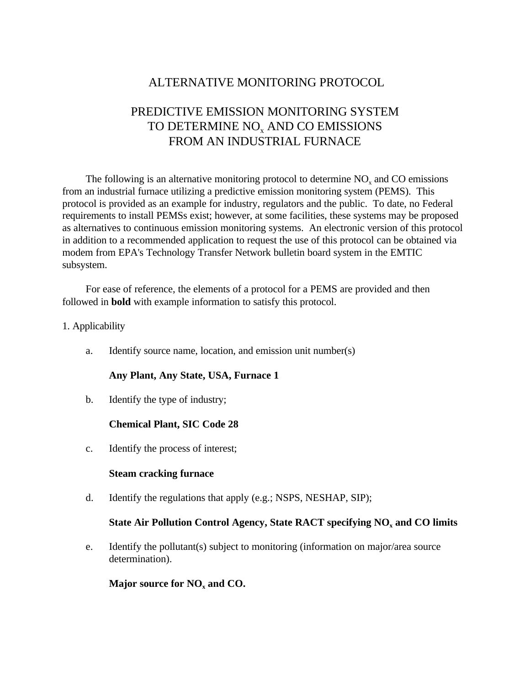# ALTERNATIVE MONITORING PROTOCOL

## PREDICTIVE EMISSION MONITORING SYSTEM TO DETERMINE  $\rm NO_x$  AND CO EMISSIONS FROM AN INDUSTRIAL FURNACE

The following is an alternative monitoring protocol to determine  $NO<sub>x</sub>$  and  $CO$  emissions from an industrial furnace utilizing a predictive emission monitoring system (PEMS). This protocol is provided as an example for industry, regulators and the public. To date, no Federal requirements to install PEMSs exist; however, at some facilities, these systems may be proposed as alternatives to continuous emission monitoring systems. An electronic version of this protocol in addition to a recommended application to request the use of this protocol can be obtained via modem from EPA's Technology Transfer Network bulletin board system in the EMTIC subsystem.

For ease of reference, the elements of a protocol for a PEMS are provided and then followed in **bold** with example information to satisfy this protocol.

- 1. Applicability
	- a. Identify source name, location, and emission unit number(s)

### **Any Plant, Any State, USA, Furnace 1**

b. Identify the type of industry;

### **Chemical Plant, SIC Code 28**

c. Identify the process of interest;

#### **Steam cracking furnace**

d. Identify the regulations that apply (e.g.; NSPS, NESHAP, SIP);

### **State Air Pollution Control Agency, State RACT specifying NO<sub>x</sub> and CO limits**

e. Identify the pollutant(s) subject to monitoring (information on major/area source determination).

**Major source for NO<sub>x</sub> and CO.**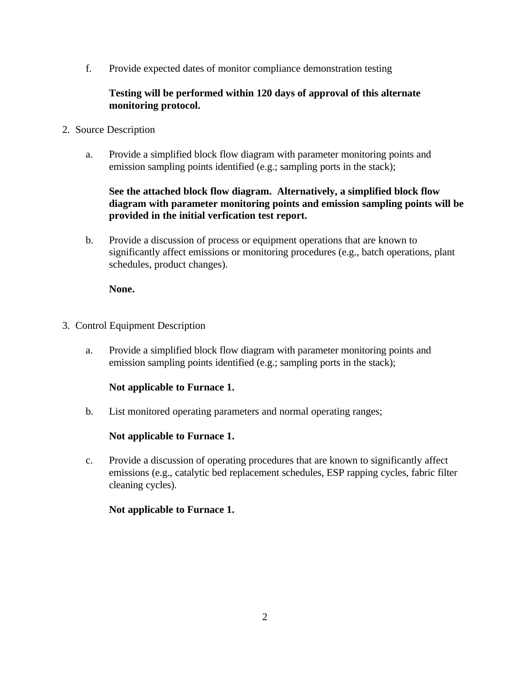f. Provide expected dates of monitor compliance demonstration testing

## **Testing will be performed within 120 days of approval of this alternate monitoring protocol.**

- 2. Source Description
	- a. Provide a simplified block flow diagram with parameter monitoring points and emission sampling points identified (e.g.; sampling ports in the stack);

## **See the attached block flow diagram. Alternatively, a simplified block flow diagram with parameter monitoring points and emission sampling points will be provided in the initial verfication test report.**

b. Provide a discussion of process or equipment operations that are known to significantly affect emissions or monitoring procedures (e.g., batch operations, plant schedules, product changes).

## **None.**

- 3. Control Equipment Description
	- a. Provide a simplified block flow diagram with parameter monitoring points and emission sampling points identified (e.g.; sampling ports in the stack);

## **Not applicable to Furnace 1.**

b. List monitored operating parameters and normal operating ranges;

## **Not applicable to Furnace 1.**

c. Provide a discussion of operating procedures that are known to significantly affect emissions (e.g., catalytic bed replacement schedules, ESP rapping cycles, fabric filter cleaning cycles).

## **Not applicable to Furnace 1.**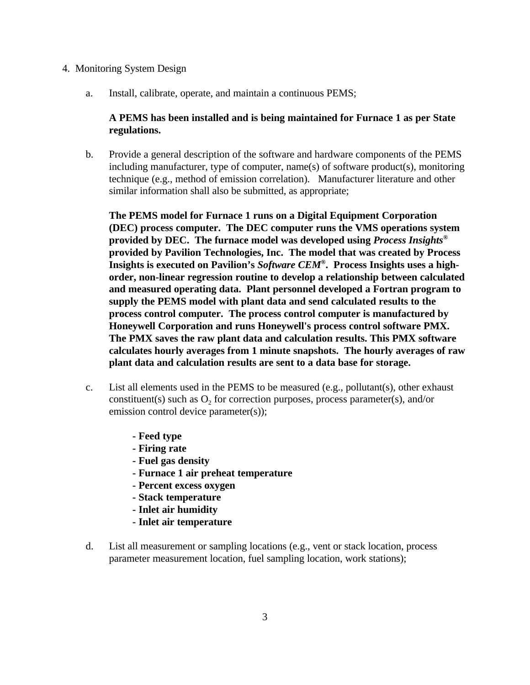#### 4. Monitoring System Design

a. Install, calibrate, operate, and maintain a continuous PEMS;

## **A PEMS has been installed and is being maintained for Furnace 1 as per State regulations.**

b. Provide a general description of the software and hardware components of the PEMS including manufacturer, type of computer, name(s) of software product(s), monitoring technique (e.g., method of emission correlation). Manufacturer literature and other similar information shall also be submitted, as appropriate;

**The PEMS model for Furnace 1 runs on a Digital Equipment Corporation (DEC) process computer. The DEC computer runs the VMS operations system provided by DEC. The furnace model was developed using** *Process Insights***® provided by Pavilion Technologies, Inc. The model that was created by Process Insights is executed on Pavilion's Software CEM®. Process Insights uses a highorder, non-linear regression routine to develop a relationship between calculated and measured operating data. Plant personnel developed a Fortran program to supply the PEMS model with plant data and send calculated results to the process control computer. The process control computer is manufactured by Honeywell Corporation and runs Honeywell's process control software PMX. The PMX saves the raw plant data and calculation results. This PMX software calculates hourly averages from 1 minute snapshots. The hourly averages of raw plant data and calculation results are sent to a data base for storage.**

- c. List all elements used in the PEMS to be measured (e.g., pollutant(s), other exhaust constituent(s) such as  $O_2$  for correction purposes, process parameter(s), and/or emission control device parameter(s));
	- **Feed type**
	- **Firing rate**
	- **Fuel gas density**
	- **Furnace 1 air preheat temperature**
	- **Percent excess oxygen**
	- **Stack temperature**
	- **Inlet air humidity**
	- **Inlet air temperature**
- d. List all measurement or sampling locations (e.g., vent or stack location, process parameter measurement location, fuel sampling location, work stations);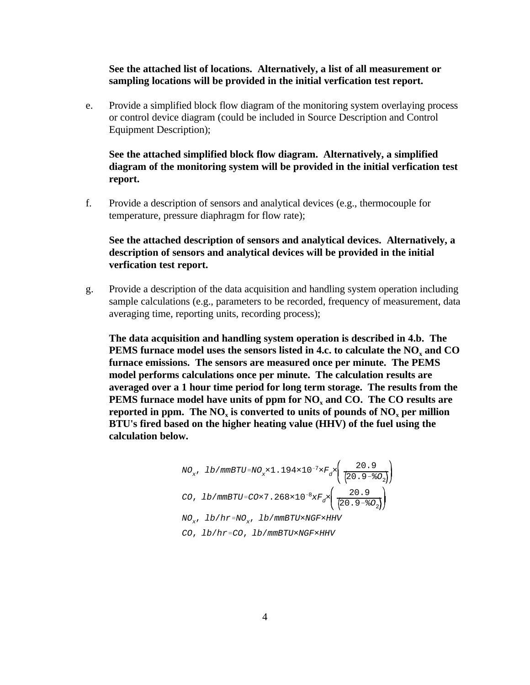#### **See the attached list of locations. Alternatively, a list of all measurement or sampling locations will be provided in the initial verfication test report.**

e. Provide a simplified block flow diagram of the monitoring system overlaying process or control device diagram (could be included in Source Description and Control Equipment Description);

## **See the attached simplified block flow diagram. Alternatively, a simplified diagram of the monitoring system will be provided in the initial verfication test report.**

f. Provide a description of sensors and analytical devices (e.g., thermocouple for temperature, pressure diaphragm for flow rate);

## **See the attached description of sensors and analytical devices. Alternatively, a description of sensors and analytical devices will be provided in the initial verfication test report.**

g. Provide a description of the data acquisition and handling system operation including sample calculations (e.g., parameters to be recorded, frequency of measurement, data averaging time, reporting units, recording process);

**The data acquisition and handling system operation is described in 4.b. The PEMS furnace model uses the sensors listed in 4.c. to calculate the NO<sup>x</sup> and CO furnace emissions. The sensors are measured once per minute. The PEMS model performs calculations once per minute. The calculation results are averaged over a 1 hour time period for long term storage. The results from the PEMS furnace model have units of ppm for NO<sup>x</sup> and CO. The CO results are reported in ppm. The NO<sup>x</sup> is converted to units of pounds of NO<sup>x</sup> per million BTU's fired based on the higher heating value (HHV) of the fuel using the calculation below.**

NO<sub>x</sub>, lb/mmBTU=NO<sub>x</sub>×1.194×10<sup>-7</sup>×F<sub>d</sub>×
$$
\left(\frac{20.9}{20.9-80_2}\right)
$$
  
\nCO, lb/mmBTU=CO×7.268×10<sup>-8</sup>×F<sub>d</sub>× $\left(\frac{20.9}{20.9-80_2}\right)$   
\nNO<sub>x</sub>, lb/hr=NO<sub>x</sub>, lb/mmBTU×NGF×HHV  
\nCO, lb/hr=CO, lb/mmBTU×NGF×HHV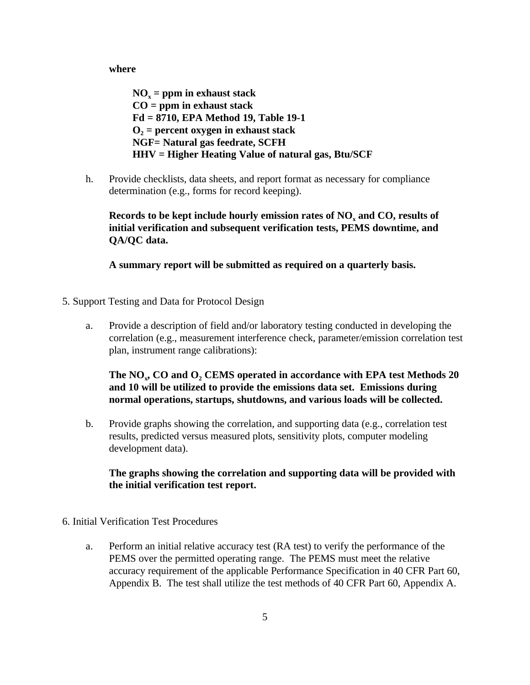**where**

**NO<sup>x</sup> = ppm in exhaust stack CO = ppm in exhaust stack Fd = 8710, EPA Method 19, Table 19-1 O2 = percent oxygen in exhaust stack NGF= Natural gas feedrate, SCFH HHV = Higher Heating Value of natural gas, Btu/SCF**

h. Provide checklists, data sheets, and report format as necessary for compliance determination (e.g., forms for record keeping).

**Records to be kept include hourly emission rates of NO, and CO, results of initial verification and subsequent verification tests, PEMS downtime, and QA/QC data.**

**A summary report will be submitted as required on a quarterly basis.**

- 5. Support Testing and Data for Protocol Design
	- a. Provide a description of field and/or laboratory testing conducted in developing the correlation (e.g., measurement interference check, parameter/emission correlation test plan, instrument range calibrations):

**The NO<sup>x</sup> , CO and O<sup>2</sup> CEMS operated in accordance with EPA test Methods 20 and 10 will be utilized to provide the emissions data set. Emissions during normal operations, startups, shutdowns, and various loads will be collected.**

b. Provide graphs showing the correlation, and supporting data (e.g., correlation test results, predicted versus measured plots, sensitivity plots, computer modeling development data).

**The graphs showing the correlation and supporting data will be provided with the initial verification test report.**

- 6. Initial Verification Test Procedures
	- a. Perform an initial relative accuracy test (RA test) to verify the performance of the PEMS over the permitted operating range. The PEMS must meet the relative accuracy requirement of the applicable Performance Specification in 40 CFR Part 60, Appendix B. The test shall utilize the test methods of 40 CFR Part 60, Appendix A.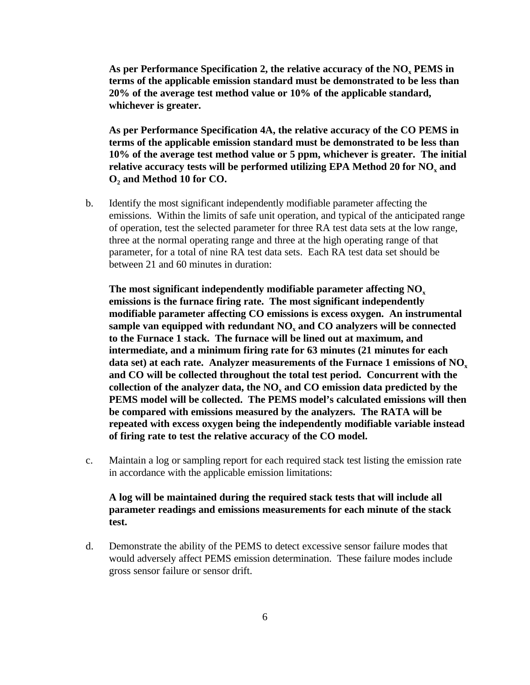**As per Performance Specification 2, the relative accuracy of the NO<sup>x</sup> PEMS in terms of the applicable emission standard must be demonstrated to be less than 20% of the average test method value or 10% of the applicable standard, whichever is greater.**

**As per Performance Specification 4A, the relative accuracy of the CO PEMS in terms of the applicable emission standard must be demonstrated to be less than 10% of the average test method value or 5 ppm, whichever is greater. The initial relative accuracy tests will be performed utilizing EPA Method 20 for NO<sup>x</sup> and O<sub>2</sub>** and Method 10 for CO.

b. Identify the most significant independently modifiable parameter affecting the emissions. Within the limits of safe unit operation, and typical of the anticipated range of operation, test the selected parameter for three RA test data sets at the low range, three at the normal operating range and three at the high operating range of that parameter, for a total of nine RA test data sets. Each RA test data set should be between 21 and 60 minutes in duration:

**The most significant independently modifiable parameter affecting NO<sup>x</sup> emissions is the furnace firing rate. The most significant independently modifiable parameter affecting CO emissions is excess oxygen. An instrumental sample van equipped with redundant NO<sup>x</sup> and CO analyzers will be connected to the Furnace 1 stack. The furnace will be lined out at maximum, and intermediate, and a minimum firing rate for 63 minutes (21 minutes for each data set) at each rate. Analyzer measurements of the Furnace 1 emissions of NO<sup>x</sup> and CO will be collected throughout the total test period. Concurrent with the collection of the analyzer data, the NO<sup>x</sup> and CO emission data predicted by the PEMS model will be collected. The PEMS model's calculated emissions will then be compared with emissions measured by the analyzers. The RATA will be repeated with excess oxygen being the independently modifiable variable instead of firing rate to test the relative accuracy of the CO model.**

c. Maintain a log or sampling report for each required stack test listing the emission rate in accordance with the applicable emission limitations:

## **A log will be maintained during the required stack tests that will include all parameter readings and emissions measurements for each minute of the stack test.**

d. Demonstrate the ability of the PEMS to detect excessive sensor failure modes that would adversely affect PEMS emission determination. These failure modes include gross sensor failure or sensor drift.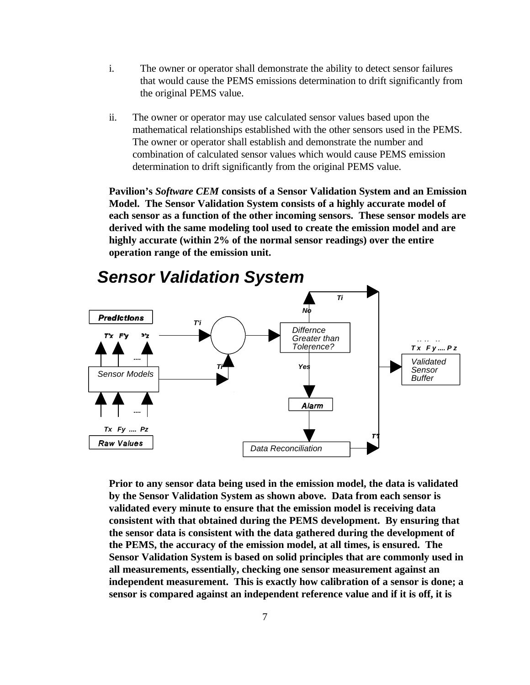- i. The owner or operator shall demonstrate the ability to detect sensor failures that would cause the PEMS emissions determination to drift significantly from the original PEMS value.
- ii. The owner or operator may use calculated sensor values based upon the mathematical relationships established with the other sensors used in the PEMS. The owner or operator shall establish and demonstrate the number and combination of calculated sensor values which would cause PEMS emission determination to drift significantly from the original PEMS value.

**Pavilion's** *Software CEM* **consists of a Sensor Validation System and an Emission Model. The Sensor Validation System consists of a highly accurate model of each sensor as a function of the other incoming sensors. These sensor models are derived with the same modeling tool used to create the emission model and are highly accurate (within 2% of the normal sensor readings) over the entire operation range of the emission unit.**



# *Sensor Validation System*

**Prior to any sensor data being used in the emission model, the data is validated by the Sensor Validation System as shown above. Data from each sensor is validated every minute to ensure that the emission model is receiving data consistent with that obtained during the PEMS development. By ensuring that the sensor data is consistent with the data gathered during the development of the PEMS, the accuracy of the emission model, at all times, is ensured. The Sensor Validation System is based on solid principles that are commonly used in all measurements, essentially, checking one sensor measurement against an independent measurement. This is exactly how calibration of a sensor is done; a sensor is compared against an independent reference value and if it is off, it is**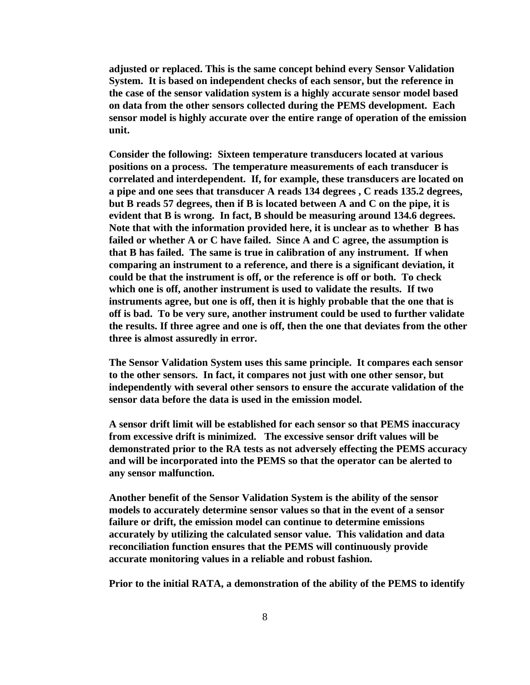**adjusted or replaced. This is the same concept behind every Sensor Validation System. It is based on independent checks of each sensor, but the reference in the case of the sensor validation system is a highly accurate sensor model based on data from the other sensors collected during the PEMS development. Each sensor model is highly accurate over the entire range of operation of the emission unit.**

**Consider the following: Sixteen temperature transducers located at various positions on a process. The temperature measurements of each transducer is correlated and interdependent. If, for example, these transducers are located on a pipe and one sees that transducer A reads 134 degrees , C reads 135.2 degrees, but B reads 57 degrees, then if B is located between A and C on the pipe, it is evident that B is wrong. In fact, B should be measuring around 134.6 degrees. Note that with the information provided here, it is unclear as to whether B has failed or whether A or C have failed. Since A and C agree, the assumption is that B has failed. The same is true in calibration of any instrument. If when comparing an instrument to a reference, and there is a significant deviation, it could be that the instrument is off, or the reference is off or both. To check which one is off, another instrument is used to validate the results. If two instruments agree, but one is off, then it is highly probable that the one that is off is bad. To be very sure, another instrument could be used to further validate the results. If three agree and one is off, then the one that deviates from the other three is almost assuredly in error.** 

**The Sensor Validation System uses this same principle. It compares each sensor to the other sensors. In fact, it compares not just with one other sensor, but independently with several other sensors to ensure the accurate validation of the sensor data before the data is used in the emission model.**

**A sensor drift limit will be established for each sensor so that PEMS inaccuracy from excessive drift is minimized. The excessive sensor drift values will be demonstrated prior to the RA tests as not adversely effecting the PEMS accuracy and will be incorporated into the PEMS so that the operator can be alerted to any sensor malfunction.**

**Another benefit of the Sensor Validation System is the ability of the sensor models to accurately determine sensor values so that in the event of a sensor failure or drift, the emission model can continue to determine emissions accurately by utilizing the calculated sensor value. This validation and data reconciliation function ensures that the PEMS will continuously provide accurate monitoring values in a reliable and robust fashion.**

**Prior to the initial RATA, a demonstration of the ability of the PEMS to identify**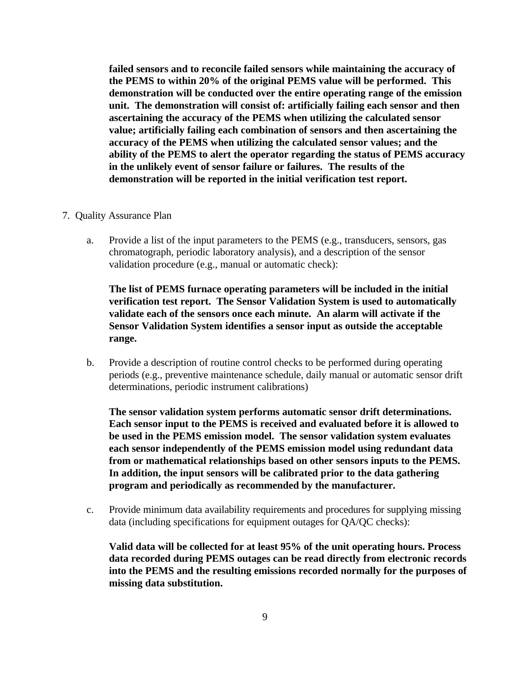**failed sensors and to reconcile failed sensors while maintaining the accuracy of the PEMS to within 20% of the original PEMS value will be performed. This demonstration will be conducted over the entire operating range of the emission unit. The demonstration will consist of: artificially failing each sensor and then ascertaining the accuracy of the PEMS when utilizing the calculated sensor value; artificially failing each combination of sensors and then ascertaining the accuracy of the PEMS when utilizing the calculated sensor values; and the ability of the PEMS to alert the operator regarding the status of PEMS accuracy in the unlikely event of sensor failure or failures. The results of the demonstration will be reported in the initial verification test report.**

#### 7. Quality Assurance Plan

a. Provide a list of the input parameters to the PEMS (e.g., transducers, sensors, gas chromatograph, periodic laboratory analysis), and a description of the sensor validation procedure (e.g., manual or automatic check):

**The list of PEMS furnace operating parameters will be included in the initial verification test report. The Sensor Validation System is used to automatically validate each of the sensors once each minute. An alarm will activate if the Sensor Validation System identifies a sensor input as outside the acceptable range.**

b. Provide a description of routine control checks to be performed during operating periods (e.g., preventive maintenance schedule, daily manual or automatic sensor drift determinations, periodic instrument calibrations)

**The sensor validation system performs automatic sensor drift determinations. Each sensor input to the PEMS is received and evaluated before it is allowed to be used in the PEMS emission model. The sensor validation system evaluates each sensor independently of the PEMS emission model using redundant data from or mathematical relationships based on other sensors inputs to the PEMS. In addition, the input sensors will be calibrated prior to the data gathering program and periodically as recommended by the manufacturer.**

c. Provide minimum data availability requirements and procedures for supplying missing data (including specifications for equipment outages for QA/QC checks):

**Valid data will be collected for at least 95% of the unit operating hours. Process data recorded during PEMS outages can be read directly from electronic records into the PEMS and the resulting emissions recorded normally for the purposes of missing data substitution.**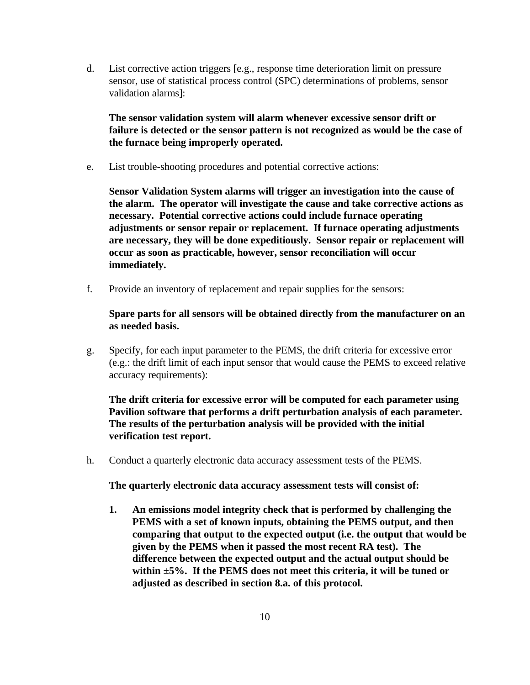d. List corrective action triggers [e.g., response time deterioration limit on pressure sensor, use of statistical process control (SPC) determinations of problems, sensor validation alarms]:

**The sensor validation system will alarm whenever excessive sensor drift or failure is detected or the sensor pattern is not recognized as would be the case of the furnace being improperly operated.**

e. List trouble-shooting procedures and potential corrective actions:

**Sensor Validation System alarms will trigger an investigation into the cause of the alarm. The operator will investigate the cause and take corrective actions as necessary. Potential corrective actions could include furnace operating adjustments or sensor repair or replacement. If furnace operating adjustments are necessary, they will be done expeditiously. Sensor repair or replacement will occur as soon as practicable, however, sensor reconciliation will occur immediately.**

f. Provide an inventory of replacement and repair supplies for the sensors:

**Spare parts for all sensors will be obtained directly from the manufacturer on an as needed basis.**

g. Specify, for each input parameter to the PEMS, the drift criteria for excessive error (e.g.: the drift limit of each input sensor that would cause the PEMS to exceed relative accuracy requirements):

**The drift criteria for excessive error will be computed for each parameter using Pavilion software that performs a drift perturbation analysis of each parameter. The results of the perturbation analysis will be provided with the initial verification test report.**

h. Conduct a quarterly electronic data accuracy assessment tests of the PEMS.

**The quarterly electronic data accuracy assessment tests will consist of:**

**1. An emissions model integrity check that is performed by challenging the PEMS with a set of known inputs, obtaining the PEMS output, and then comparing that output to the expected output (i.e. the output that would be given by the PEMS when it passed the most recent RA test). The difference between the expected output and the actual output should be within ±5%. If the PEMS does not meet this criteria, it will be tuned or adjusted as described in section 8.a. of this protocol.**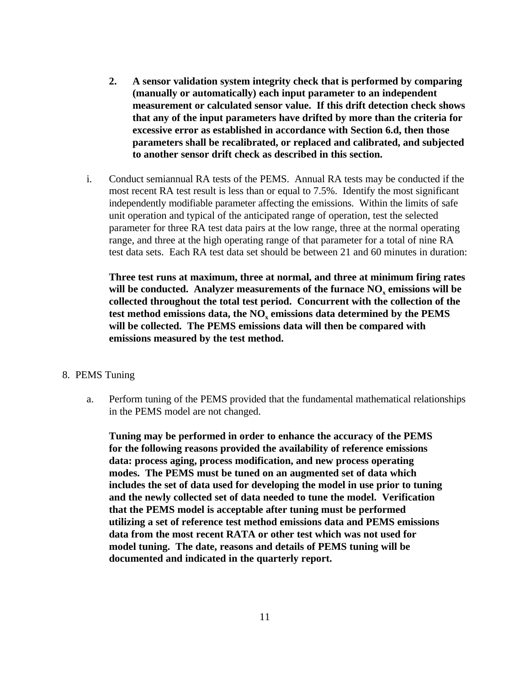- **2. A sensor validation system integrity check that is performed by comparing (manually or automatically) each input parameter to an independent measurement or calculated sensor value. If this drift detection check shows that any of the input parameters have drifted by more than the criteria for excessive error as established in accordance with Section 6.d, then those parameters shall be recalibrated, or replaced and calibrated, and subjected to another sensor drift check as described in this section.**
- i. Conduct semiannual RA tests of the PEMS. Annual RA tests may be conducted if the most recent RA test result is less than or equal to 7.5%. Identify the most significant independently modifiable parameter affecting the emissions. Within the limits of safe unit operation and typical of the anticipated range of operation, test the selected parameter for three RA test data pairs at the low range, three at the normal operating range, and three at the high operating range of that parameter for a total of nine RA test data sets. Each RA test data set should be between 21 and 60 minutes in duration:

**Three test runs at maximum, three at normal, and three at minimum firing rates** will be conducted. Analyzer measurements of the furnace NO<sub>x</sub> emissions will be **collected throughout the total test period. Concurrent with the collection of the test method emissions data, the NO<sup>x</sup> emissions data determined by the PEMS will be collected. The PEMS emissions data will then be compared with emissions measured by the test method.**

#### 8. PEMS Tuning

a. Perform tuning of the PEMS provided that the fundamental mathematical relationships in the PEMS model are not changed.

**Tuning may be performed in order to enhance the accuracy of the PEMS for the following reasons provided the availability of reference emissions data: process aging, process modification, and new process operating modes. The PEMS must be tuned on an augmented set of data which includes the set of data used for developing the model in use prior to tuning and the newly collected set of data needed to tune the model. Verification that the PEMS model is acceptable after tuning must be performed utilizing a set of reference test method emissions data and PEMS emissions data from the most recent RATA or other test which was not used for model tuning. The date, reasons and details of PEMS tuning will be documented and indicated in the quarterly report.**